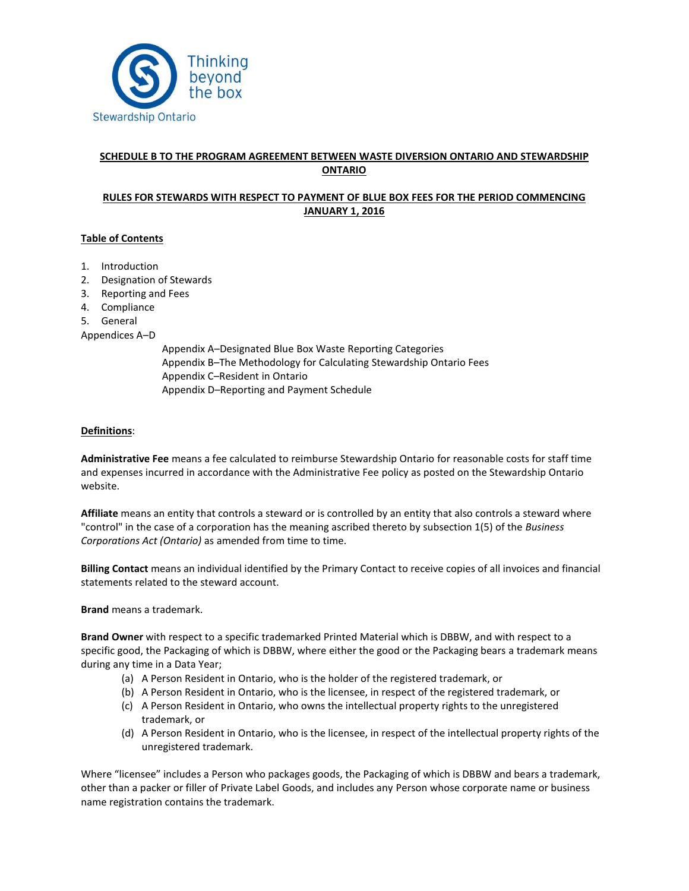

# **SCHEDULE B TO THE PROGRAM AGREEMENT BETWEEN WASTE DIVERSION ONTARIO AND STEWARDSHIP ONTARIO**

# **RULES FOR STEWARDS WITH RESPECT TO PAYMENT OF BLUE BOX FEES FOR THE PERIOD COMMENCING JANUARY 1, 2016**

## **Table of Contents**

- 1. Introduction
- 2. Designation of Stewards
- 3. Reporting and Fees
- 4. Compliance
- 5. General

Appendices A–D

Appendix A–Designated Blue Box Waste Reporting Categories Appendix B–The Methodology for Calculating Stewardship Ontario Fees Appendix C–Resident in Ontario Appendix D–Reporting and Payment Schedule

### **Definitions**:

**Administrative Fee** means a fee calculated to reimburse Stewardship Ontario for reasonable costs for staff time and expenses incurred in accordance with the Administrative Fee policy as posted on the Stewardship Ontario website.

**Affiliate** means an entity that controls a steward or is controlled by an entity that also controls a steward where "control" in the case of a corporation has the meaning ascribed thereto by subsection 1(5) of the *Business Corporations Act (Ontario)* as amended from time to time.

**Billing Contact** means an individual identified by the Primary Contact to receive copies of all invoices and financial statements related to the steward account.

**Brand** means a trademark.

**Brand Owner** with respect to a specific trademarked Printed Material which is DBBW, and with respect to a specific good, the Packaging of which is DBBW, where either the good or the Packaging bears a trademark means during any time in a Data Year;

- (a) A Person Resident in Ontario, who is the holder of the registered trademark, or
- (b) A Person Resident in Ontario, who is the licensee, in respect of the registered trademark, or
- (c) A Person Resident in Ontario, who owns the intellectual property rights to the unregistered trademark, or
- (d) A Person Resident in Ontario, who is the licensee, in respect of the intellectual property rights of the unregistered trademark.

Where "licensee" includes a Person who packages goods, the Packaging of which is DBBW and bears a trademark, other than a packer or filler of Private Label Goods, and includes any Person whose corporate name or business name registration contains the trademark.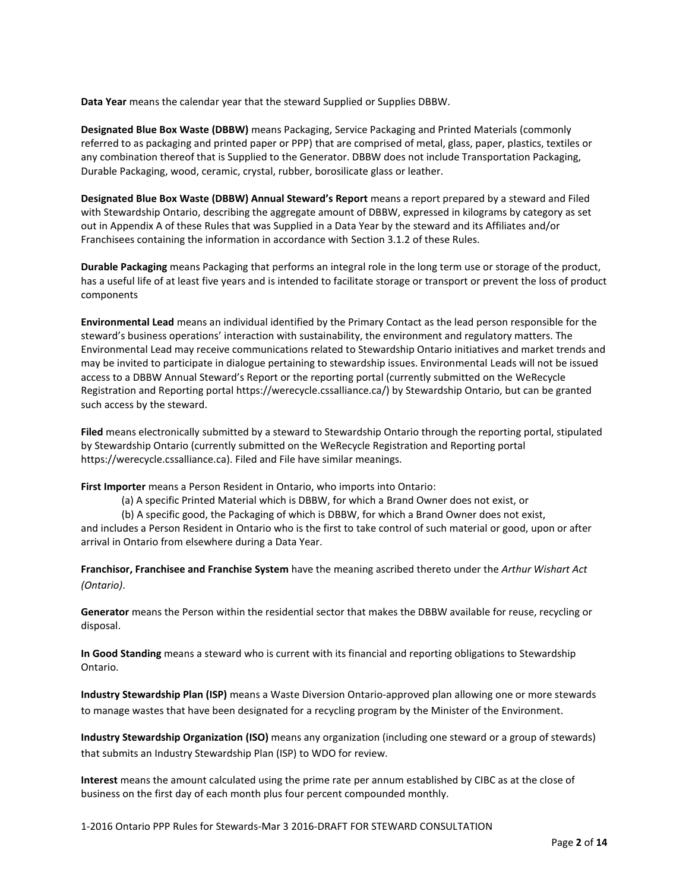**Data Year** means the calendar year that the steward Supplied or Supplies DBBW.

**Designated Blue Box Waste (DBBW)** means Packaging, Service Packaging and Printed Materials (commonly referred to as packaging and printed paper or PPP) that are comprised of metal, glass, paper, plastics, textiles or any combination thereof that is Supplied to the Generator. DBBW does not include Transportation Packaging, Durable Packaging, wood, ceramic, crystal, rubber, borosilicate glass or leather.

**Designated Blue Box Waste (DBBW) Annual Steward's Report** means a report prepared by a steward and Filed with Stewardship Ontario, describing the aggregate amount of DBBW, expressed in kilograms by category as set out in Appendix A of these Rules that was Supplied in a Data Year by the steward and its Affiliates and/or Franchisees containing the information in accordance with Section 3.1.2 of these Rules.

**Durable Packaging** means Packaging that performs an integral role in the long term use or storage of the product, has a useful life of at least five years and is intended to facilitate storage or transport or prevent the loss of product components

**Environmental Lead** means an individual identified by the Primary Contact as the lead person responsible for the steward's business operations' interaction with sustainability, the environment and regulatory matters. The Environmental Lead may receive communications related to Stewardship Ontario initiatives and market trends and may be invited to participate in dialogue pertaining to stewardship issues. Environmental Leads will not be issued access to a DBBW Annual Steward's Report or the reporting portal (currently submitted on the WeRecycle Registration and Reporting portal https://werecycle.cssalliance.ca/) by Stewardship Ontario, but can be granted such access by the steward.

**Filed** means electronically submitted by a steward to Stewardship Ontario through the reporting portal, stipulated by Stewardship Ontario (currently submitted on the WeRecycle Registration and Reporting portal https://werecycle.cssalliance.ca). Filed and File have similar meanings.

**First Importer** means a Person Resident in Ontario, who imports into Ontario:

(a) A specific Printed Material which is DBBW, for which a Brand Owner does not exist, or

(b) A specific good, the Packaging of which is DBBW, for which a Brand Owner does not exist,

and includes a Person Resident in Ontario who is the first to take control of such material or good, upon or after arrival in Ontario from elsewhere during a Data Year.

**Franchisor, Franchisee and Franchise System** have the meaning ascribed thereto under the *Arthur Wishart Act (Ontario)*.

**Generator** means the Person within the residential sector that makes the DBBW available for reuse, recycling or disposal.

**In Good Standing** means a steward who is current with its financial and reporting obligations to Stewardship Ontario.

**Industry Stewardship Plan (ISP)** means a Waste Diversion Ontario-approved plan allowing one or more stewards to manage wastes that have been designated for a recycling program by the Minister of the Environment.

**Industry Stewardship Organization (ISO)** means any organization (including one steward or a group of stewards) that submits an Industry Stewardship Plan (ISP) to WDO for review.

**Interest** means the amount calculated using the prime rate per annum established by CIBC as at the close of business on the first day of each month plus four percent compounded monthly.

1-2016 Ontario PPP Rules for Stewards-Mar 3 2016-DRAFT FOR STEWARD CONSULTATION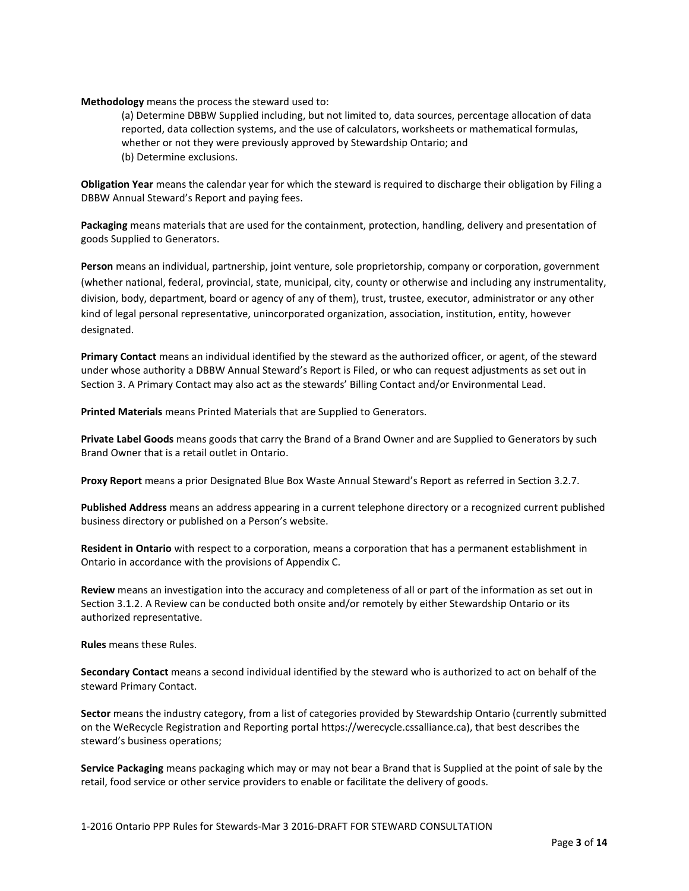**Methodology** means the process the steward used to:

(a) Determine DBBW Supplied including, but not limited to, data sources, percentage allocation of data reported, data collection systems, and the use of calculators, worksheets or mathematical formulas, whether or not they were previously approved by Stewardship Ontario; and (b) Determine exclusions.

**Obligation Year** means the calendar year for which the steward is required to discharge their obligation by Filing a DBBW Annual Steward's Report and paying fees.

**Packaging** means materials that are used for the containment, protection, handling, delivery and presentation of goods Supplied to Generators.

**Person** means an individual, partnership, joint venture, sole proprietorship, company or corporation, government (whether national, federal, provincial, state, municipal, city, county or otherwise and including any instrumentality, division, body, department, board or agency of any of them), trust, trustee, executor, administrator or any other kind of legal personal representative, unincorporated organization, association, institution, entity, however designated.

**Primary Contact** means an individual identified by the steward as the authorized officer, or agent, of the steward under whose authority a DBBW Annual Steward's Report is Filed, or who can request adjustments as set out in Section 3. A Primary Contact may also act as the stewards' Billing Contact and/or Environmental Lead.

**Printed Materials** means Printed Materials that are Supplied to Generators.

**Private Label Goods** means goods that carry the Brand of a Brand Owner and are Supplied to Generators by such Brand Owner that is a retail outlet in Ontario.

**Proxy Report** means a prior Designated Blue Box Waste Annual Steward's Report as referred in Section 3.2.7.

**Published Address** means an address appearing in a current telephone directory or a recognized current published business directory or published on a Person's website.

**Resident in Ontario** with respect to a corporation, means a corporation that has a permanent establishment in Ontario in accordance with the provisions of Appendix C.

**Review** means an investigation into the accuracy and completeness of all or part of the information as set out in Section 3.1.2. A Review can be conducted both onsite and/or remotely by either Stewardship Ontario or its authorized representative.

**Rules** means these Rules.

**Secondary Contact** means a second individual identified by the steward who is authorized to act on behalf of the steward Primary Contact.

**Sector** means the industry category, from a list of categories provided by Stewardship Ontario (currently submitted on the WeRecycle Registration and Reporting portal https://werecycle.cssalliance.ca), that best describes the steward's business operations;

**Service Packaging** means packaging which may or may not bear a Brand that is Supplied at the point of sale by the retail, food service or other service providers to enable or facilitate the delivery of goods.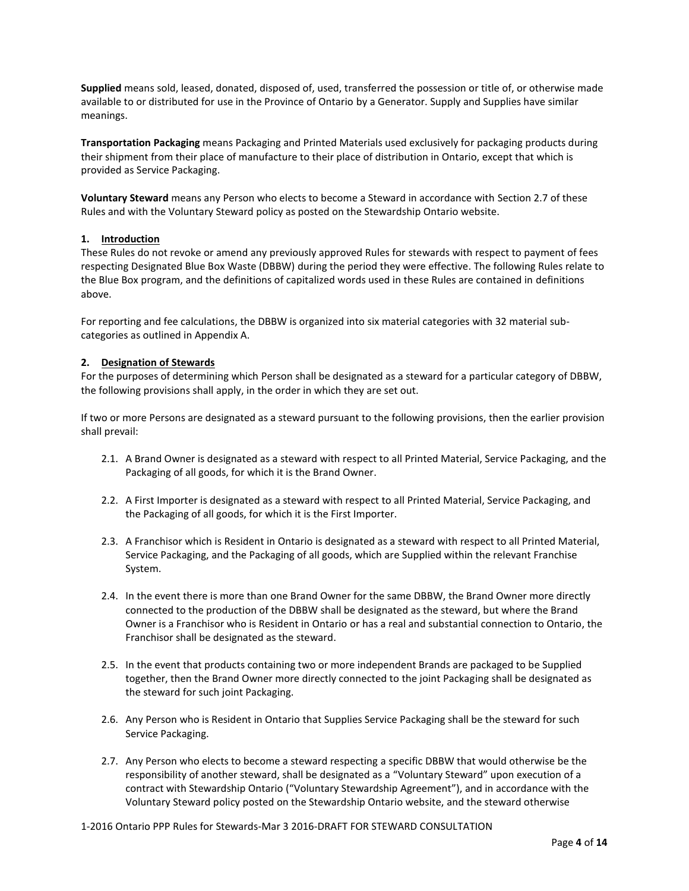**Supplied** means sold, leased, donated, disposed of, used, transferred the possession or title of, or otherwise made available to or distributed for use in the Province of Ontario by a Generator. Supply and Supplies have similar meanings.

**Transportation Packaging** means Packaging and Printed Materials used exclusively for packaging products during their shipment from their place of manufacture to their place of distribution in Ontario, except that which is provided as Service Packaging.

**Voluntary Steward** means any Person who elects to become a Steward in accordance with Section 2.7 of these Rules and with the Voluntary Steward policy as posted on the Stewardship Ontario website.

### **1. Introduction**

These Rules do not revoke or amend any previously approved Rules for stewards with respect to payment of fees respecting Designated Blue Box Waste (DBBW) during the period they were effective. The following Rules relate to the Blue Box program, and the definitions of capitalized words used in these Rules are contained in definitions above.

For reporting and fee calculations, the DBBW is organized into six material categories with 32 material subcategories as outlined in Appendix A.

#### **2. Designation of Stewards**

For the purposes of determining which Person shall be designated as a steward for a particular category of DBBW, the following provisions shall apply, in the order in which they are set out.

If two or more Persons are designated as a steward pursuant to the following provisions, then the earlier provision shall prevail:

- 2.1. A Brand Owner is designated as a steward with respect to all Printed Material, Service Packaging, and the Packaging of all goods, for which it is the Brand Owner.
- 2.2. A First Importer is designated as a steward with respect to all Printed Material, Service Packaging, and the Packaging of all goods, for which it is the First Importer.
- 2.3. A Franchisor which is Resident in Ontario is designated as a steward with respect to all Printed Material, Service Packaging, and the Packaging of all goods, which are Supplied within the relevant Franchise System.
- 2.4. In the event there is more than one Brand Owner for the same DBBW, the Brand Owner more directly connected to the production of the DBBW shall be designated as the steward, but where the Brand Owner is a Franchisor who is Resident in Ontario or has a real and substantial connection to Ontario, the Franchisor shall be designated as the steward.
- 2.5. In the event that products containing two or more independent Brands are packaged to be Supplied together, then the Brand Owner more directly connected to the joint Packaging shall be designated as the steward for such joint Packaging.
- 2.6. Any Person who is Resident in Ontario that Supplies Service Packaging shall be the steward for such Service Packaging.
- 2.7. Any Person who elects to become a steward respecting a specific DBBW that would otherwise be the responsibility of another steward, shall be designated as a "Voluntary Steward" upon execution of a contract with Stewardship Ontario ("Voluntary Stewardship Agreement"), and in accordance with the Voluntary Steward policy posted on the Stewardship Ontario website, and the steward otherwise

1-2016 Ontario PPP Rules for Stewards-Mar 3 2016-DRAFT FOR STEWARD CONSULTATION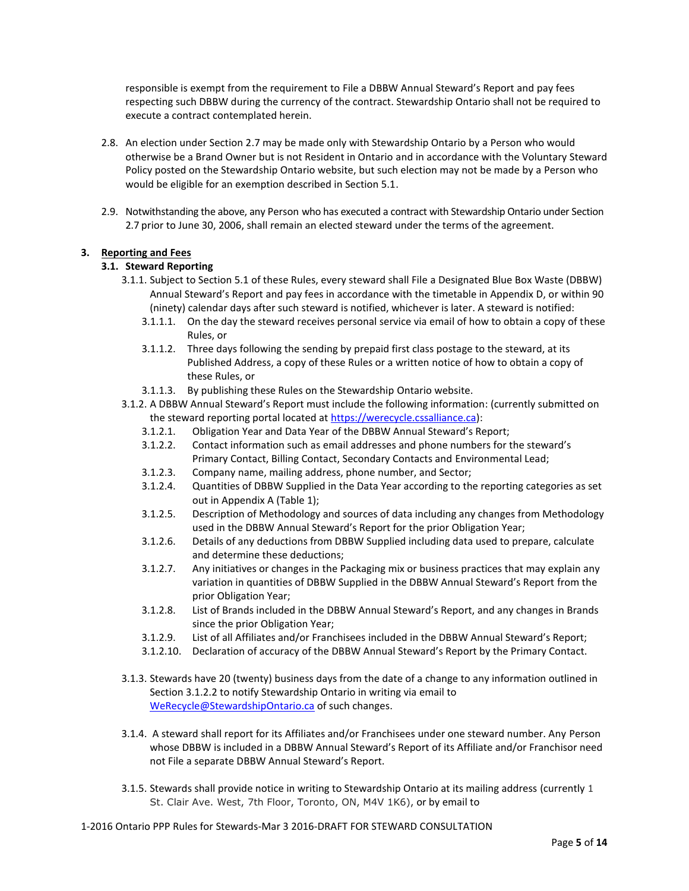responsible is exempt from the requirement to File a DBBW Annual Steward's Report and pay fees respecting such DBBW during the currency of the contract. Stewardship Ontario shall not be required to execute a contract contemplated herein.

- 2.8. An election under Section 2.7 may be made only with Stewardship Ontario by a Person who would otherwise be a Brand Owner but is not Resident in Ontario and in accordance with the Voluntary Steward Policy posted on the Stewardship Ontario website, but such election may not be made by a Person who would be eligible for an exemption described in Section 5.1.
- 2.9. Notwithstanding the above, any Person who has executed a contract with Stewardship Ontario under Section 2.7 prior to June 30, 2006, shall remain an elected steward under the terms of the agreement.

## **3. Reporting and Fees**

### **3.1. Steward Reporting**

- 3.1.1. Subject to Section 5.1 of these Rules, every steward shall File a Designated Blue Box Waste (DBBW) Annual Steward's Report and pay fees in accordance with the timetable in Appendix D, or within 90 (ninety) calendar days after such steward is notified, whichever is later. A steward is notified:
	- 3.1.1.1. On the day the steward receives personal service via email of how to obtain a copy of these Rules, or
	- 3.1.1.2. Three days following the sending by prepaid first class postage to the steward, at its Published Address, a copy of these Rules or a written notice of how to obtain a copy of these Rules, or
	- 3.1.1.3. By publishing these Rules on the Stewardship Ontario website.

3.1.2. A DBBW Annual Steward's Report must include the following information: (currently submitted on the steward reporting portal located at [https://werecycle.cssalliance.ca\)](https://werecycle.cssalliance.ca/):

- 3.1.2.1. Obligation Year and Data Year of the DBBW Annual Steward's Report;
- 3.1.2.2. Contact information such as email addresses and phone numbers for the steward's Primary Contact, Billing Contact, Secondary Contacts and Environmental Lead;
- 3.1.2.3. Company name, mailing address, phone number, and Sector;
- 3.1.2.4. Quantities of DBBW Supplied in the Data Year according to the reporting categories as set out in Appendix A (Table 1);
- 3.1.2.5. Description of Methodology and sources of data including any changes from Methodology used in the DBBW Annual Steward's Report for the prior Obligation Year;
- 3.1.2.6. Details of any deductions from DBBW Supplied including data used to prepare, calculate and determine these deductions;
- 3.1.2.7. Any initiatives or changes in the Packaging mix or business practices that may explain any variation in quantities of DBBW Supplied in the DBBW Annual Steward's Report from the prior Obligation Year;
- 3.1.2.8. List of Brands included in the DBBW Annual Steward's Report, and any changes in Brands since the prior Obligation Year;
- 3.1.2.9. List of all Affiliates and/or Franchisees included in the DBBW Annual Steward's Report;
- 3.1.2.10. Declaration of accuracy of the DBBW Annual Steward's Report by the Primary Contact.
- 3.1.3. Stewards have 20 (twenty) business days from the date of a change to any information outlined in Section 3.1.2.2 to notify Stewardship Ontario in writing via email to [WeRecycle@StewardshipOntario.ca](mailto:WeRecycle@StewardshipOntario.ca) of such changes.
- 3.1.4. A steward shall report for its Affiliates and/or Franchisees under one steward number. Any Person whose DBBW is included in a DBBW Annual Steward's Report of its Affiliate and/or Franchisor need not File a separate DBBW Annual Steward's Report.
- 3.1.5. Stewards shall provide notice in writing to Stewardship Ontario at its mailing address (currently 1 St. Clair Ave. West, 7th Floor, Toronto, ON, M4V 1K6), or by email to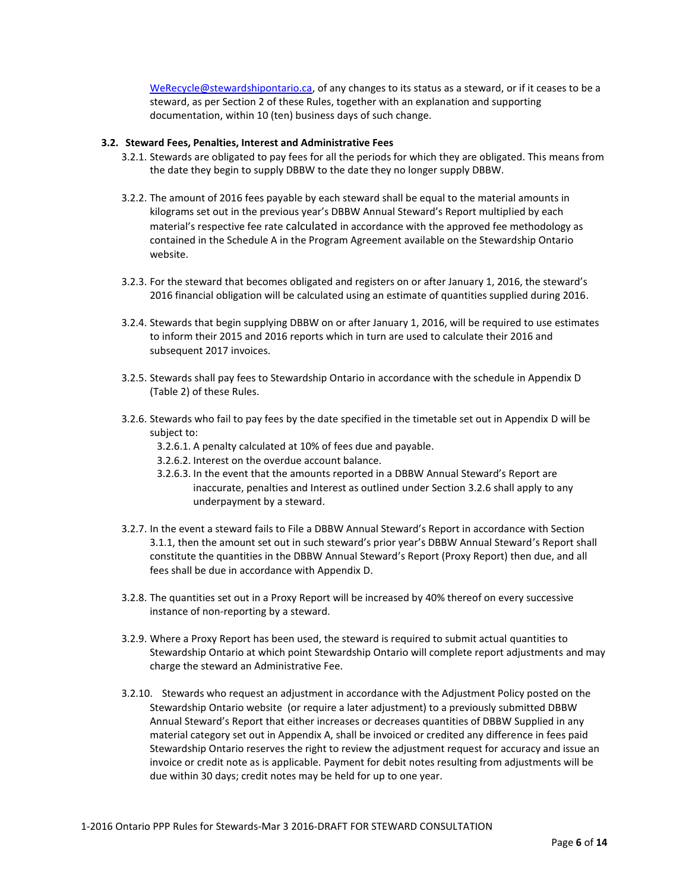[WeRecycle@stewardshipontario.ca,](mailto:WeRecycle@stewardshipontario.ca) of any changes to its status as a steward, or if it ceases to be a steward, as per Section 2 of these Rules, together with an explanation and supporting documentation, within 10 (ten) business days of such change.

### **3.2. Steward Fees, Penalties, Interest and Administrative Fees**

- 3.2.1. Stewards are obligated to pay fees for all the periods for which they are obligated. This means from the date they begin to supply DBBW to the date they no longer supply DBBW.
- 3.2.2. The amount of 2016 fees payable by each steward shall be equal to the material amounts in kilograms set out in the previous year's DBBW Annual Steward's Report multiplied by each material's respective fee rate calculated in accordance with the approved fee methodology as contained in the Schedule A in the Program Agreement available on the Stewardship Ontario website.
- 3.2.3. For the steward that becomes obligated and registers on or after January 1, 2016, the steward's 2016 financial obligation will be calculated using an estimate of quantities supplied during 2016.
- 3.2.4. Stewards that begin supplying DBBW on or after January 1, 2016, will be required to use estimates to inform their 2015 and 2016 reports which in turn are used to calculate their 2016 and subsequent 2017 invoices.
- 3.2.5. Stewards shall pay fees to Stewardship Ontario in accordance with the schedule in Appendix D (Table 2) of these Rules.
- 3.2.6. Stewards who fail to pay fees by the date specified in the timetable set out in Appendix D will be subject to:
	- 3.2.6.1. A penalty calculated at 10% of fees due and payable.
	- 3.2.6.2. Interest on the overdue account balance.
	- 3.2.6.3. In the event that the amounts reported in a DBBW Annual Steward's Report are inaccurate, penalties and Interest as outlined under Section 3.2.6 shall apply to any underpayment by a steward.
- 3.2.7. In the event a steward fails to File a DBBW Annual Steward's Report in accordance with Section 3.1.1, then the amount set out in such steward's prior year's DBBW Annual Steward's Report shall constitute the quantities in the DBBW Annual Steward's Report (Proxy Report) then due, and all fees shall be due in accordance with Appendix D.
- 3.2.8. The quantities set out in a Proxy Report will be increased by 40% thereof on every successive instance of non-reporting by a steward.
- 3.2.9. Where a Proxy Report has been used, the steward is required to submit actual quantities to Stewardship Ontario at which point Stewardship Ontario will complete report adjustments and may charge the steward an Administrative Fee.
- 3.2.10. Stewards who request an adjustment in accordance with the Adjustment Policy posted on the Stewardship Ontario website (or require a later adjustment) to a previously submitted DBBW Annual Steward's Report that either increases or decreases quantities of DBBW Supplied in any material category set out in Appendix A, shall be invoiced or credited any difference in fees paid Stewardship Ontario reserves the right to review the adjustment request for accuracy and issue an invoice or credit note as is applicable. Payment for debit notes resulting from adjustments will be due within 30 days; credit notes may be held for up to one year.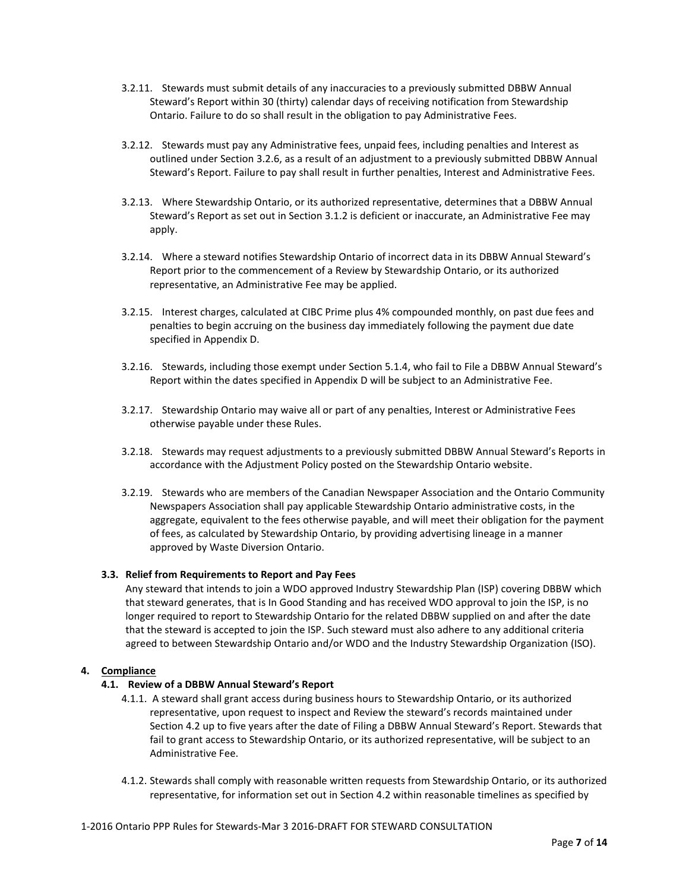- 3.2.11. Stewards must submit details of any inaccuracies to a previously submitted DBBW Annual Steward's Report within 30 (thirty) calendar days of receiving notification from Stewardship Ontario. Failure to do so shall result in the obligation to pay Administrative Fees.
- 3.2.12. Stewards must pay any Administrative fees, unpaid fees, including penalties and Interest as outlined under Section 3.2.6, as a result of an adjustment to a previously submitted DBBW Annual Steward's Report. Failure to pay shall result in further penalties, Interest and Administrative Fees.
- 3.2.13. Where Stewardship Ontario, or its authorized representative, determines that a DBBW Annual Steward's Report as set out in Section 3.1.2 is deficient or inaccurate, an Administrative Fee may apply.
- 3.2.14. Where a steward notifies Stewardship Ontario of incorrect data in its DBBW Annual Steward's Report prior to the commencement of a Review by Stewardship Ontario, or its authorized representative, an Administrative Fee may be applied.
- 3.2.15. Interest charges, calculated at CIBC Prime plus 4% compounded monthly, on past due fees and penalties to begin accruing on the business day immediately following the payment due date specified in Appendix D.
- 3.2.16. Stewards, including those exempt under Section 5.1.4, who fail to File a DBBW Annual Steward's Report within the dates specified in Appendix D will be subject to an Administrative Fee.
- 3.2.17. Stewardship Ontario may waive all or part of any penalties, Interest or Administrative Fees otherwise payable under these Rules.
- 3.2.18. Stewards may request adjustments to a previously submitted DBBW Annual Steward's Reports in accordance with the Adjustment Policy posted on the Stewardship Ontario website.
- 3.2.19. Stewards who are members of the Canadian Newspaper Association and the Ontario Community Newspapers Association shall pay applicable Stewardship Ontario administrative costs, in the aggregate, equivalent to the fees otherwise payable, and will meet their obligation for the payment of fees, as calculated by Stewardship Ontario, by providing advertising lineage in a manner approved by Waste Diversion Ontario.

## **3.3. Relief from Requirements to Report and Pay Fees**

Any steward that intends to join a WDO approved Industry Stewardship Plan (ISP) covering DBBW which that steward generates, that is In Good Standing and has received WDO approval to join the ISP, is no longer required to report to Stewardship Ontario for the related DBBW supplied on and after the date that the steward is accepted to join the ISP. Such steward must also adhere to any additional criteria agreed to between Stewardship Ontario and/or WDO and the Industry Stewardship Organization (ISO).

### **4. Compliance**

## **4.1. Review of a DBBW Annual Steward's Report**

- 4.1.1. A steward shall grant access during business hours to Stewardship Ontario, or its authorized representative, upon request to inspect and Review the steward's records maintained under Section 4.2 up to five years after the date of Filing a DBBW Annual Steward's Report. Stewards that fail to grant access to Stewardship Ontario, or its authorized representative, will be subject to an Administrative Fee.
- 4.1.2. Stewards shall comply with reasonable written requests from Stewardship Ontario, or its authorized representative, for information set out in Section 4.2 within reasonable timelines as specified by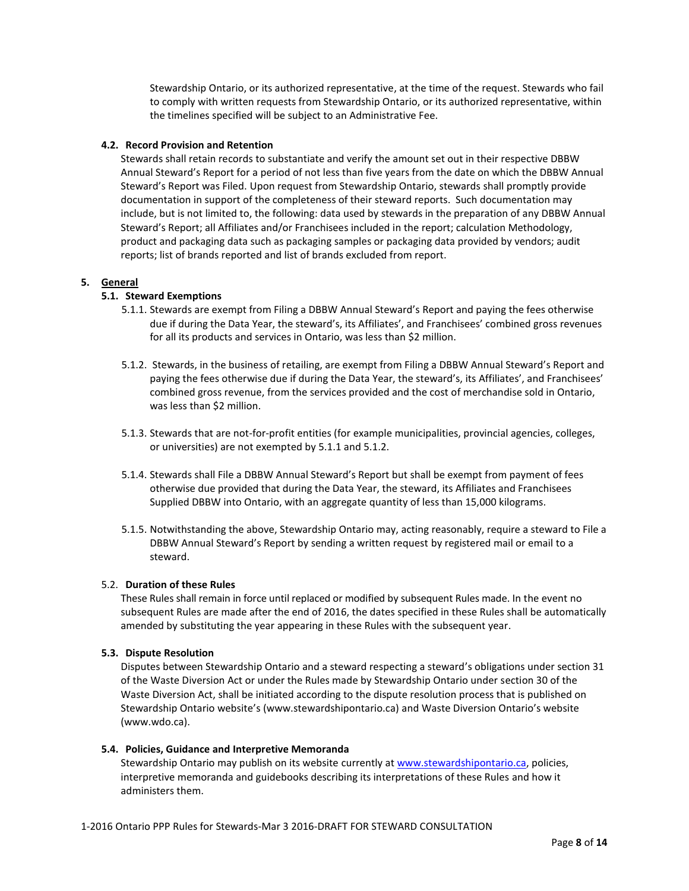Stewardship Ontario, or its authorized representative, at the time of the request. Stewards who fail to comply with written requests from Stewardship Ontario, or its authorized representative, within the timelines specified will be subject to an Administrative Fee.

### **4.2. Record Provision and Retention**

Stewards shall retain records to substantiate and verify the amount set out in their respective DBBW Annual Steward's Report for a period of not less than five years from the date on which the DBBW Annual Steward's Report was Filed. Upon request from Stewardship Ontario, stewards shall promptly provide documentation in support of the completeness of their steward reports. Such documentation may include, but is not limited to, the following: data used by stewards in the preparation of any DBBW Annual Steward's Report; all Affiliates and/or Franchisees included in the report; calculation Methodology, product and packaging data such as packaging samples or packaging data provided by vendors; audit reports; list of brands reported and list of brands excluded from report.

### **5. General**

# **5.1. Steward Exemptions**

- 5.1.1. Stewards are exempt from Filing a DBBW Annual Steward's Report and paying the fees otherwise due if during the Data Year, the steward's, its Affiliates', and Franchisees' combined gross revenues for all its products and services in Ontario, was less than \$2 million.
- 5.1.2. Stewards, in the business of retailing, are exempt from Filing a DBBW Annual Steward's Report and paying the fees otherwise due if during the Data Year, the steward's, its Affiliates', and Franchisees' combined gross revenue, from the services provided and the cost of merchandise sold in Ontario, was less than \$2 million.
- 5.1.3. Stewards that are not-for-profit entities (for example municipalities, provincial agencies, colleges, or universities) are not exempted by 5.1.1 and 5.1.2.
- 5.1.4. Stewards shall File a DBBW Annual Steward's Report but shall be exempt from payment of fees otherwise due provided that during the Data Year, the steward, its Affiliates and Franchisees Supplied DBBW into Ontario, with an aggregate quantity of less than 15,000 kilograms.
- 5.1.5. Notwithstanding the above, Stewardship Ontario may, acting reasonably, require a steward to File a DBBW Annual Steward's Report by sending a written request by registered mail or email to a steward.

#### 5.2. **Duration of these Rules**

These Rules shall remain in force until replaced or modified by subsequent Rules made. In the event no subsequent Rules are made after the end of 2016, the dates specified in these Rules shall be automatically amended by substituting the year appearing in these Rules with the subsequent year.

#### **5.3. Dispute Resolution**

Disputes between Stewardship Ontario and a steward respecting a steward's obligations under section 31 of the Waste Diversion Act or under the Rules made by Stewardship Ontario under section 30 of the Waste Diversion Act, shall be initiated according to the dispute resolution process that is published on Stewardship Ontario website's (www.stewardshipontario.ca) and Waste Diversion Ontario's website (www.wdo.ca).

#### **5.4. Policies, Guidance and Interpretive Memoranda**

Stewardship Ontario may publish on its website currently at [www.stewardshipontario.ca,](http://www.stewardshipontario.ca/) policies, interpretive memoranda and guidebooks describing its interpretations of these Rules and how it administers them.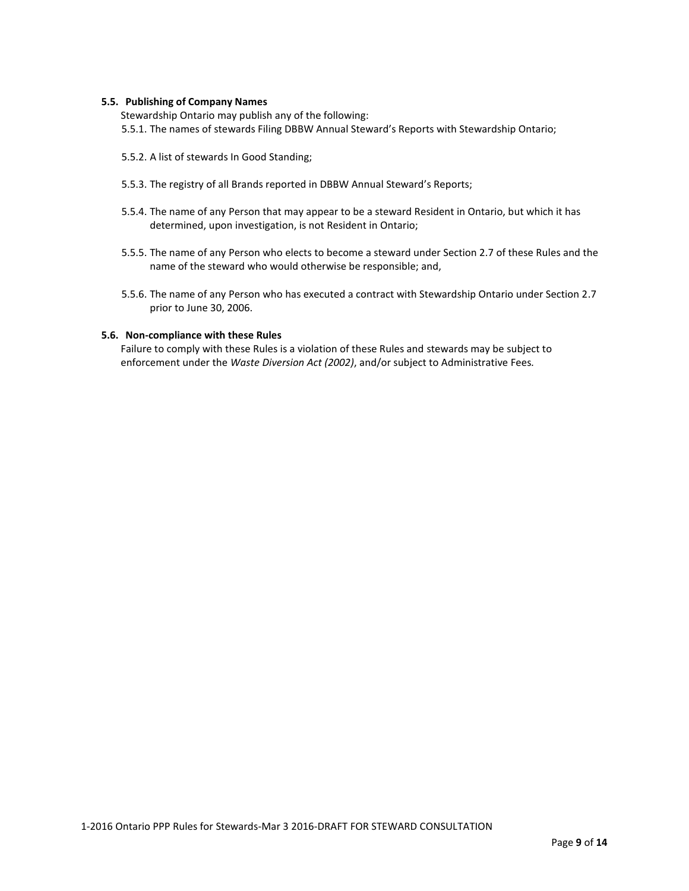#### **5.5. Publishing of Company Names**

Stewardship Ontario may publish any of the following: 5.5.1. The names of stewards Filing DBBW Annual Steward's Reports with Stewardship Ontario;

- 5.5.2. A list of stewards In Good Standing;
- 5.5.3. The registry of all Brands reported in DBBW Annual Steward's Reports;
- 5.5.4. The name of any Person that may appear to be a steward Resident in Ontario, but which it has determined, upon investigation, is not Resident in Ontario;
- 5.5.5. The name of any Person who elects to become a steward under Section 2.7 of these Rules and the name of the steward who would otherwise be responsible; and,
- 5.5.6. The name of any Person who has executed a contract with Stewardship Ontario under Section 2.7 prior to June 30, 2006.

#### **5.6. Non-compliance with these Rules**

Failure to comply with these Rules is a violation of these Rules and stewards may be subject to enforcement under the *Waste Diversion Act (2002)*, and/or subject to Administrative Fees*.*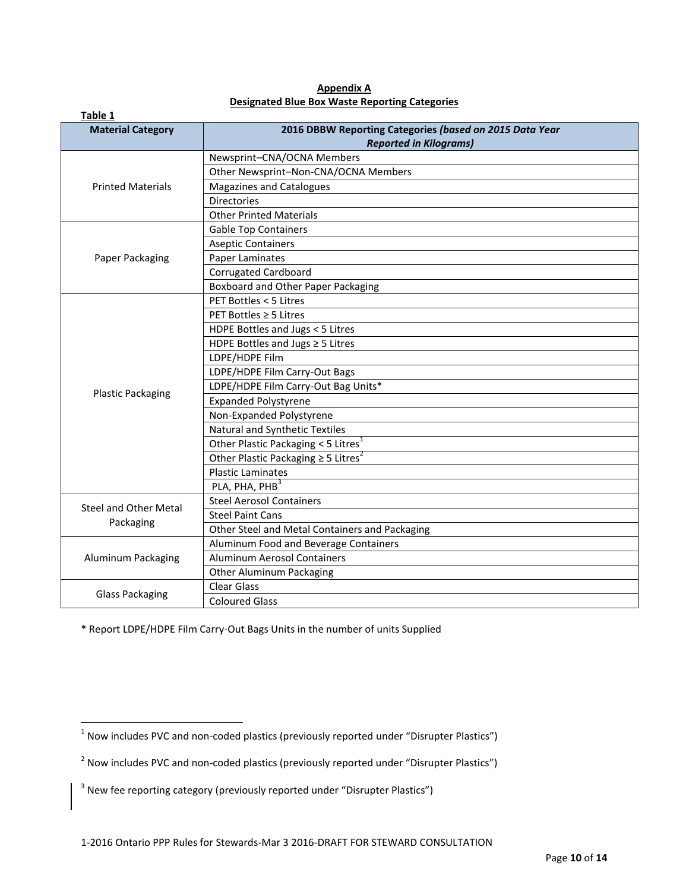| Table 1                                   |                                                         |
|-------------------------------------------|---------------------------------------------------------|
| <b>Material Category</b>                  | 2016 DBBW Reporting Categories (based on 2015 Data Year |
|                                           | <b>Reported in Kilograms)</b>                           |
| <b>Printed Materials</b>                  | Newsprint-CNA/OCNA Members                              |
|                                           | Other Newsprint-Non-CNA/OCNA Members                    |
|                                           | Magazines and Catalogues                                |
|                                           | <b>Directories</b>                                      |
|                                           | <b>Other Printed Materials</b>                          |
| Paper Packaging                           | <b>Gable Top Containers</b>                             |
|                                           | <b>Aseptic Containers</b>                               |
|                                           | Paper Laminates                                         |
|                                           | <b>Corrugated Cardboard</b>                             |
|                                           | Boxboard and Other Paper Packaging                      |
|                                           | PET Bottles < 5 Litres                                  |
|                                           | PET Bottles ≥ 5 Litres                                  |
|                                           | HDPE Bottles and Jugs < 5 Litres                        |
|                                           | HDPE Bottles and Jugs $\geq$ 5 Litres                   |
|                                           | LDPE/HDPE Film                                          |
|                                           | LDPE/HDPE Film Carry-Out Bags                           |
|                                           | LDPE/HDPE Film Carry-Out Bag Units*                     |
| <b>Plastic Packaging</b>                  | <b>Expanded Polystyrene</b>                             |
|                                           | Non-Expanded Polystyrene                                |
|                                           | Natural and Synthetic Textiles                          |
|                                           | Other Plastic Packaging $<$ 5 Litres <sup>1</sup>       |
|                                           | Other Plastic Packaging $\geq$ 5 Litres <sup>2</sup>    |
|                                           | <b>Plastic Laminates</b>                                |
|                                           | PLA, PHA, PHB <sup>3</sup>                              |
|                                           | <b>Steel Aerosol Containers</b>                         |
| <b>Steel and Other Metal</b><br>Packaging | <b>Steel Paint Cans</b>                                 |
|                                           | Other Steel and Metal Containers and Packaging          |
| Aluminum Packaging                        | Aluminum Food and Beverage Containers                   |
|                                           | <b>Aluminum Aerosol Containers</b>                      |
|                                           | Other Aluminum Packaging                                |
| <b>Glass Packaging</b>                    | <b>Clear Glass</b>                                      |
|                                           | <b>Coloured Glass</b>                                   |

**Appendix A Designated Blue Box Waste Reporting Categories** 

\* Report LDPE/HDPE Film Carry-Out Bags Units in the number of units Supplied

 1 Now includes PVC and non-coded plastics (previously reported under "Disrupter Plastics")

 $^2$  Now includes PVC and non-coded plastics (previously reported under "Disrupter Plastics")

 $3$  New fee reporting category (previously reported under "Disrupter Plastics")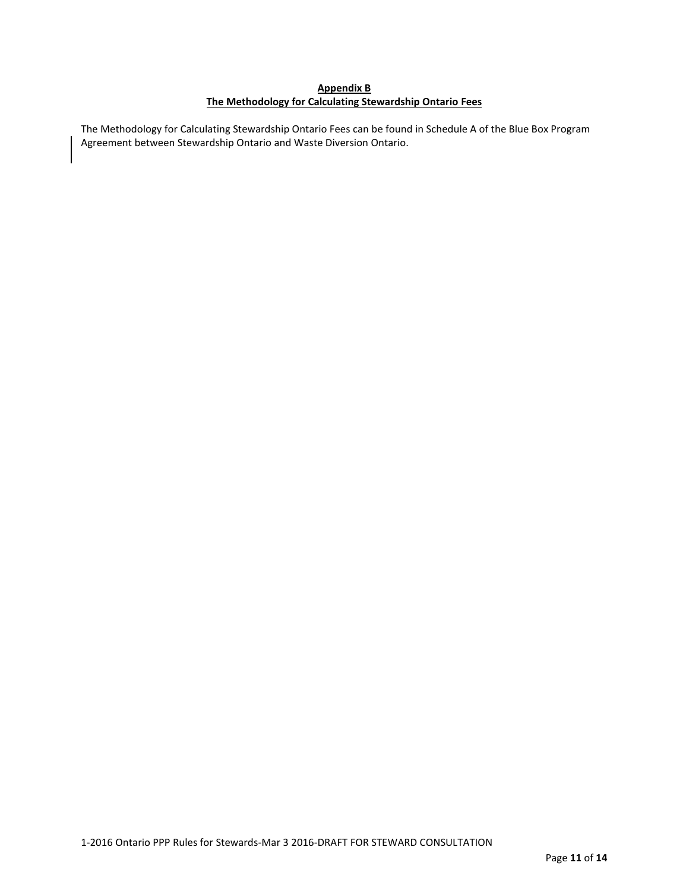# **Appendix B The Methodology for Calculating Stewardship Ontario Fees**

The Methodology for Calculating Stewardship Ontario Fees can be found in Schedule A of the Blue Box Program Agreement between Stewardship Ontario and Waste Diversion Ontario.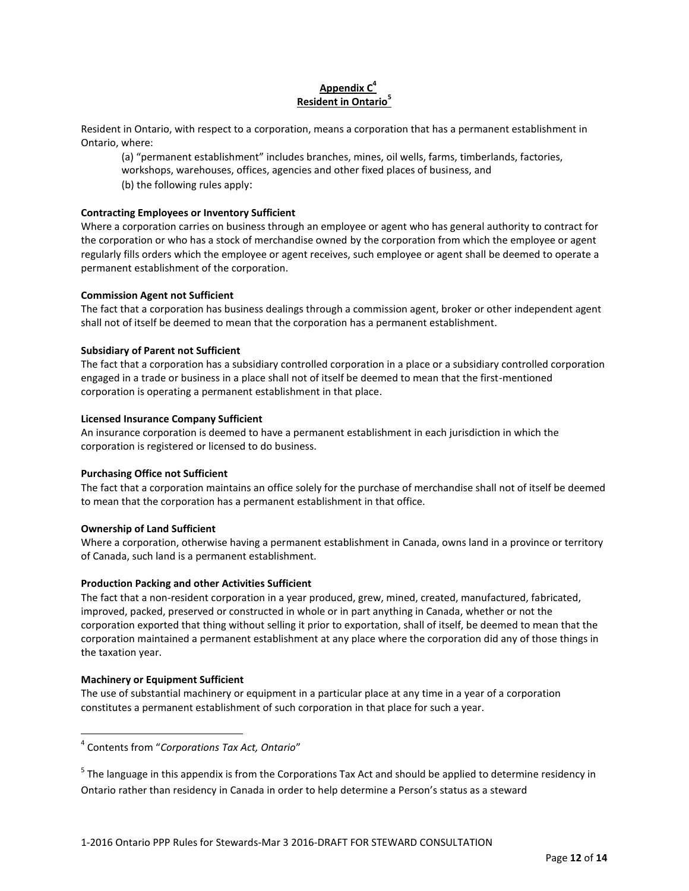# **Appendix C 4 Resident in Ontario<sup>5</sup>**

Resident in Ontario, with respect to a corporation, means a corporation that has a permanent establishment in Ontario, where:

(a) "permanent establishment" includes branches, mines, oil wells, farms, timberlands, factories, workshops, warehouses, offices, agencies and other fixed places of business, and

(b) the following rules apply:

## **Contracting Employees or Inventory Sufficient**

Where a corporation carries on business through an employee or agent who has general authority to contract for the corporation or who has a stock of merchandise owned by the corporation from which the employee or agent regularly fills orders which the employee or agent receives, such employee or agent shall be deemed to operate a permanent establishment of the corporation.

# **Commission Agent not Sufficient**

The fact that a corporation has business dealings through a commission agent, broker or other independent agent shall not of itself be deemed to mean that the corporation has a permanent establishment.

# **Subsidiary of Parent not Sufficient**

The fact that a corporation has a subsidiary controlled corporation in a place or a subsidiary controlled corporation engaged in a trade or business in a place shall not of itself be deemed to mean that the first-mentioned corporation is operating a permanent establishment in that place.

# **Licensed Insurance Company Sufficient**

An insurance corporation is deemed to have a permanent establishment in each jurisdiction in which the corporation is registered or licensed to do business.

## **Purchasing Office not Sufficient**

The fact that a corporation maintains an office solely for the purchase of merchandise shall not of itself be deemed to mean that the corporation has a permanent establishment in that office.

# **Ownership of Land Sufficient**

Where a corporation, otherwise having a permanent establishment in Canada, owns land in a province or territory of Canada, such land is a permanent establishment.

## **Production Packing and other Activities Sufficient**

The fact that a non-resident corporation in a year produced, grew, mined, created, manufactured, fabricated, improved, packed, preserved or constructed in whole or in part anything in Canada, whether or not the corporation exported that thing without selling it prior to exportation, shall of itself, be deemed to mean that the corporation maintained a permanent establishment at any place where the corporation did any of those things in the taxation year.

## **Machinery or Equipment Sufficient**

 $\overline{\phantom{a}}$ 

The use of substantial machinery or equipment in a particular place at any time in a year of a corporation constitutes a permanent establishment of such corporation in that place for such a year.

4 Contents from "*Corporations Tax Act, Ontario*"

<sup>5</sup> The language in this appendix is from the Corporations Tax Act and should be applied to determine residency in Ontario rather than residency in Canada in order to help determine a Person's status as a steward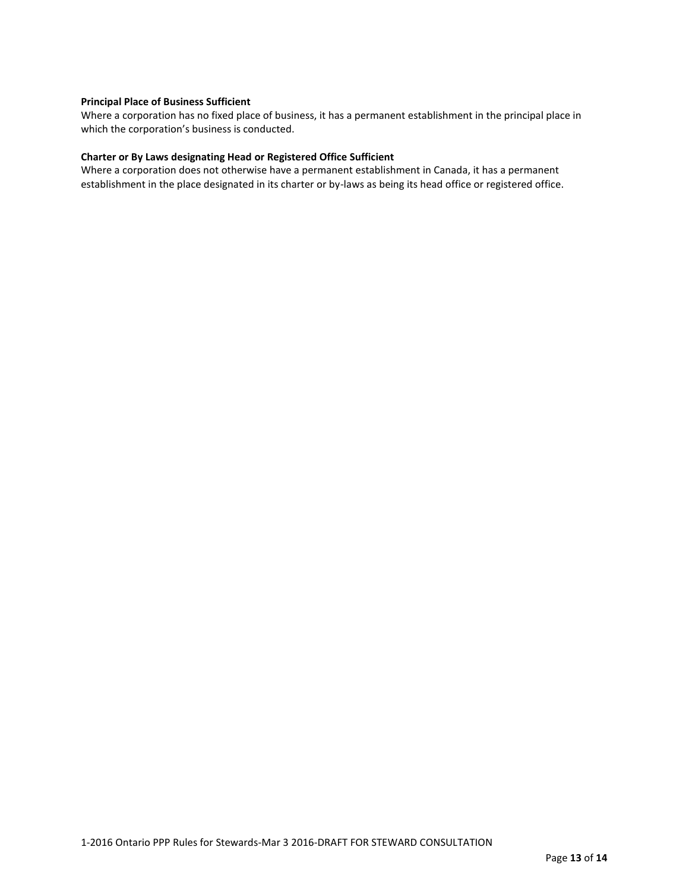### **Principal Place of Business Sufficient**

Where a corporation has no fixed place of business, it has a permanent establishment in the principal place in which the corporation's business is conducted.

### **Charter or By Laws designating Head or Registered Office Sufficient**

Where a corporation does not otherwise have a permanent establishment in Canada, it has a permanent establishment in the place designated in its charter or by-laws as being its head office or registered office.